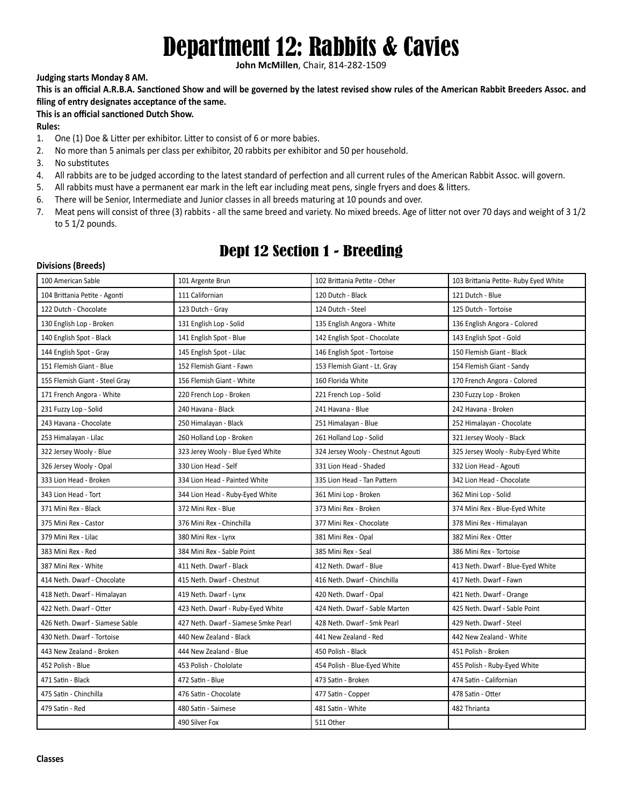# Department 12: Rabbits & Cavies

**John McMillen**, Chair, 814-282-1509

### **Judging starts Monday 8 AM.**

**This is an official A.R.B.A. Sanctioned Show and will be governed by the latest revised show rules of the American Rabbit Breeders Assoc. and filing of entry designates acceptance of the same.**

### **This is an official sanctioned Dutch Show.**

### **Rules:**

- 1. One (1) Doe & Litter per exhibitor. Litter to consist of 6 or more babies.
- 2. No more than 5 animals per class per exhibitor, 20 rabbits per exhibitor and 50 per household.
- 3. No substitutes
- 4. All rabbits are to be judged according to the latest standard of perfection and all current rules of the American Rabbit Assoc. will govern.
- 5. All rabbits must have a permanent ear mark in the left ear including meat pens, single fryers and does & litters.
- 6. There will be Senior, Intermediate and Junior classes in all breeds maturing at 10 pounds and over.
- 7. Meat pens will consist of three (3) rabbits all the same breed and variety. No mixed breeds. Age of litter not over 70 days and weight of 3 1/2 to 5 1/2 pounds.

# Dept 12 Section 1 - Breeding

#### **Divisions (Breeds)**

| 100 American Sable              | 101 Argente Brun                     | 102 Brittania Petite - Other       | 103 Brittania Petite-Ruby Eyed White |  |
|---------------------------------|--------------------------------------|------------------------------------|--------------------------------------|--|
| 104 Brittania Petite - Agonti   | 111 Californian                      | 120 Dutch - Black                  | 121 Dutch - Blue                     |  |
| 122 Dutch - Chocolate           | 123 Dutch - Gray                     | 124 Dutch - Steel                  | 125 Dutch - Tortoise                 |  |
| 130 English Lop - Broken        | 131 English Lop - Solid              | 135 English Angora - White         | 136 English Angora - Colored         |  |
| 140 English Spot - Black        | 141 English Spot - Blue              | 142 English Spot - Chocolate       | 143 English Spot - Gold              |  |
| 144 English Spot - Gray         | 145 English Spot - Lilac             | 146 English Spot - Tortoise        | 150 Flemish Giant - Black            |  |
| 151 Flemish Giant - Blue        | 152 Flemish Giant - Fawn             | 153 Flemish Giant - Lt. Gray       | 154 Flemish Giant - Sandy            |  |
| 155 Flemish Giant - Steel Gray  | 156 Flemish Giant - White            | 160 Florida White                  | 170 French Angora - Colored          |  |
| 171 French Angora - White       | 220 French Lop - Broken              | 221 French Lop - Solid             | 230 Fuzzy Lop - Broken               |  |
| 231 Fuzzy Lop - Solid           | 240 Havana - Black                   | 241 Havana - Blue                  | 242 Havana - Broken                  |  |
| 243 Havana - Chocolate          | 250 Himalayan - Black                | 251 Himalayan - Blue               | 252 Himalayan - Chocolate            |  |
| 253 Himalayan - Lilac           | 260 Holland Lop - Broken             | 261 Holland Lop - Solid            | 321 Jersey Wooly - Black             |  |
| 322 Jersey Wooly - Blue         | 323 Jerey Wooly - Blue Eyed White    | 324 Jersey Wooly - Chestnut Agouti | 325 Jersey Wooly - Ruby-Eyed White   |  |
| 326 Jersey Wooly - Opal         | 330 Lion Head - Self                 | 331 Lion Head - Shaded             | 332 Lion Head - Agouti               |  |
| 333 Lion Head - Broken          | 334 Lion Head - Painted White        | 335 Lion Head - Tan Pattern        | 342 Lion Head - Chocolate            |  |
| 343 Lion Head - Tort            | 344 Lion Head - Ruby-Eyed White      | 361 Mini Lop - Broken              | 362 Mini Lop - Solid                 |  |
| 371 Mini Rex - Black            | 372 Mini Rex - Blue                  | 373 Mini Rex - Broken              | 374 Mini Rex - Blue-Eyed White       |  |
| 375 Mini Rex - Castor           | 376 Mini Rex - Chinchilla            | 377 Mini Rex - Chocolate           | 378 Mini Rex - Himalayan             |  |
| 379 Mini Rex - Lilac            | 380 Mini Rex - Lynx                  | 381 Mini Rex - Opal                | 382 Mini Rex - Otter                 |  |
| 383 Mini Rex - Red              | 384 Mini Rex - Sable Point           | 385 Mini Rex - Seal                | 386 Mini Rex - Tortoise              |  |
| 387 Mini Rex - White            | 411 Neth. Dwarf - Black              | 412 Neth. Dwarf - Blue             | 413 Neth. Dwarf - Blue-Eyed White    |  |
| 414 Neth. Dwarf - Chocolate     | 415 Neth. Dwarf - Chestnut           | 416 Neth. Dwarf - Chinchilla       | 417 Neth. Dwarf - Fawn               |  |
| 418 Neth. Dwarf - Himalayan     | 419 Neth. Dwarf - Lynx               | 420 Neth. Dwarf - Opal             | 421 Neth. Dwarf - Orange             |  |
| 422 Neth. Dwarf - Otter         | 423 Neth. Dwarf - Ruby-Eyed White    | 424 Neth. Dwarf - Sable Marten     | 425 Neth. Dwarf - Sable Point        |  |
| 426 Neth. Dwarf - Siamese Sable | 427 Neth. Dwarf - Siamese Smke Pearl | 428 Neth. Dwarf - Smk Pearl        | 429 Neth. Dwarf - Steel              |  |
| 430 Neth. Dwarf - Tortoise      | 440 New Zealand - Black              | 441 New Zealand - Red              | 442 New Zealand - White              |  |
| 443 New Zealand - Broken        | 444 New Zealand - Blue               | 450 Polish - Black                 | 451 Polish - Broken                  |  |
| 452 Polish - Blue               | 453 Polish - Chololate               | 454 Polish - Blue-Eyed White       | 455 Polish - Ruby-Eyed White         |  |
| 471 Satin - Black               | 472 Satin - Blue                     | 473 Satin - Broken                 | 474 Satin - Californian              |  |
| 475 Satin - Chinchilla          | 476 Satin - Chocolate                | 477 Satin - Copper                 | 478 Satin - Otter                    |  |
| 479 Satin - Red                 | 480 Satin - Saimese                  | 481 Satin - White                  | 482 Thrianta                         |  |
|                                 | 490 Silver Fox                       | 511 Other                          |                                      |  |
|                                 |                                      |                                    |                                      |  |